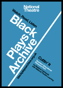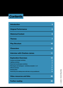# **Contents**

| <b>Introduction</b>                                            | 3  |
|----------------------------------------------------------------|----|
| <b>Original Performance</b>                                    | 5  |
| <b>Historical Context</b>                                      | 6  |
| <b>Themes</b>                                                  | 7  |
| <b>Play Structure</b>                                          | 10 |
| <b>Characters</b>                                              | 10 |
| <b>Interview with Charlene James</b>                           | 11 |
| <b>Exploration Exercises</b>                                   | 12 |
| <b>Costume and design workshop</b>                             | 12 |
| <b>Lighting workshop</b>                                       | 15 |
| Sound and soundscapes workshop                                 | 17 |
| Monologues and duologues - workshop examples 1, 2, 3           | 18 |
| <b>Off-text exercises</b>                                      | 21 |
| <b>Devising ideas</b>                                          | 24 |
| Performing and realising texts with links to key practitioners | 24 |
| <b>Video resources and links</b>                               | 26 |
| <b>Further reading</b>                                         | 26 |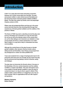## **Introduction**

*Cuttin' It* is a play about the heart-wrenching connection between two London school girls from Somalia. The past and present collide in a tale centred around friendship and the harrowing impact of female genital mutilation (FGM) in Britain. The play was written by activist, actor and playwright Charlene James in 2016.

Fifteen-year-old protagonists Muna and Iqra go to the same school and both discover their shocking links through their experiences of female genital mutilation and the realities of the practice in Britain.

The theme of FGM may seem a daunting one but the play uses humour, friendship and connection as a way into this topic. Do not be put off by the delicate nature of the central story arc as the witty dialogue and characters are relatable to many young people and show a unique perspective on an oftentaboo subject in a way that is easy to understand and draw commonalities.

Although the central theme of the play focuses on female genital mutilation other dynamic themes include culture, sibling bonds and friendship; many things young people from any background or culture can draw parallels from.

I have seen students from a range of backgrounds react to the production first-hand and can honestly say the impact the play has his profound and long lasting in terms of themes, acting and dialogue.

The play does not demonise the Somali culture; it focuses on the friendship of the two central characters and the realities of FGM in a modern-day Britain. This pack will explore some of the details of female genital mutilation to give the play its context but does in no way do this to upset or offend. If the subject matter causes distress or is triggering in any way we have included links to organisations that can offer support and guidance.

Maylene Catchpole, Drama Teacher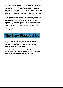The Department of Education states that all teachers throughout England need knowledge and awareness of FGM and its impact on school age girls. This is to protect young people and keep them free from harm. The guidance is part of the Keeping Children Safe in Education 2021 document and is part of a teacher's duty of care to know and see the signs of all types of abuse and harm.

'Whilst all staff should speak to the designated safeguarding lead (or deputy) with regard to any concerns about female genital mutilation (FGM), there is a specific legal duty on teachers. If a teacher, in the course of their work in the profession, discovers that an act of FGM appears to have been carried out on a girl under the age of 18, the teacher must report this to the police.'

DfE Keeping Children Safe in Education 2021.

# The Black Plays Archive

The Black Plays Archive supported by Sustained Theatre and Arts Council England, is an online catalogue for the first professional production of every African, Caribbean and Black British play produced in Britain.

You can find out about more professional productions of plays by African, Caribbean and Black British playwrights in the Black Plays Archive here: blackplaysarchive.org.uk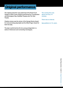# Original performance

The original production was performed at the Royal Court Theatre in 2016; it was a Royal Court/Young Vic co-production with Birmingham Rep, Sheffield Theatres and The Yard Theatre.

Charlene James was the winner of the George Devine Award for most promising playwright and the Alfred Fagon Award for best new play.

The play is performed by the two young protagonists in a series of interwoven and connecting monologues.

The running time was about one hour, 15 minutes.

There was no interval.

Age guidance is 14+ years.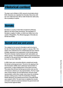# Historical context

The play is set in Britain in 2016, around a local state school. Both characters are originally from Somalia. Muna lives with her mum while Iqra lives with an older female she calls aunty. She is possibly an orphan.

## Somalia

Somalia is a country in East Africa bordered by Ethiopia, Djibouti, the Gulf of Aden and Kenya. The population of Somalia is roughly 15 million, of which two million live in the capital of Mogadishu. The official languages of Somalia are Somali and Arabic.

## Somali civil war and unrest

The catalyst for the turmoil in Somalia is said to be due to the fall of President Siad Barre's regime in January 1991. The regime was understood to be a dictatorship that saw extreme brutality, oppression and suppression of the Somali people. This led to interclan rivalries between both nationalistic and Islamic groups. This dissatisfaction with the government led to an attack on the government and military posts, prompting the first civil war from 1988–1991.

In 2000, there were concerted efforts to rebuild and reunite the Somali central government. This led to the signing of the Arta Declaration (2000) which addressed representation in government, a major building block of the peace process. This states that all future Somali governments must use the 4:5 formula in reference to clan representation. The four major clans, Dorad, Hawiye, Dir and Rahanweym will have equal representation while other smaller clans share the remaining decision-making power. Under the leadership of Hassan Sheikh Mohamud, the federal government of Somalia (FGS) was created in 2012. The aims were to stabilise the country and build a national consensus between the government and newly formed regional states.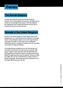## Themes

## The Somali diaspora

Somalia has faced civil unrest and internal conflict for decades. Due to this political and economic instability, Somali people are increasingly living outside of Somalia. Migrants are making their way to places like Europe, but they face a treacherous journey over land and sea.

## Somalis in the United Kingdom

Somalis in the United Kingdom include British citizens and residents born in or with ancestors from Somalia. It is thought that the United Kingdom (UK) is home to the largest Somali community in Europe. In 2018, there were an estimated 108,000 Somali-born immigrants residing in the UK, according to the Office for National Statistics.

The earliest Somali immigrants in the UK were lascars and merchants who arrived in the 19th century. A second small group of seamen came during the Second World War with the Royal Navy and stayed in search of employment from the British Somaliland (present-day Somaliland). During the 1980s and 1990s, the civil war in Somalia led to a large number of Somali immigrants. The Somali community represents one of the largest Muslim groups in the UK.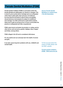## Female Genital Mutilation (FGM)

Female genital mutilation (FGM) is a procedure where the female genitals are deliberately cut, injured or changed. This is done to prove purity before marriage and is an antiquated notion that it makes girls clean and pure. It is believed by some that the procedure is about what is acceptable sexual behaviour and prepares its subject for adulthood and marriage. It is often performed on girls before puberty starts and on girls as young as four. In some communities the practice is widespread and often unquestioned.

FGM is also known as female circumcision or cutting, and by other terms, such as sunna, gudniin, halalays, tahur, megrez and khitan, among others.

FGM is illegal in the UK and is considered child abuse.

It's very painful and can seriously harm the health of women and girls.

It can also cause long-term problems with sex, childbirth and mental health.

[Source Female Genital](https://www.thegirlgeneration.org/about)  [Mutilation is a global issue](https://www.thegirlgeneration.org/about)  [| The Girl Generation](https://www.thegirlgeneration.org/about)

To find out more about the impact of FGM, please visit the NHS' website:

[Female genital mutilation](https://www.nhs.uk/conditions/female-genital-mutilation-fgm/)  [\(FGM\) - NHS \(www.nhs.uk\)](https://www.nhs.uk/conditions/female-genital-mutilation-fgm/)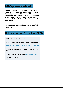## FGM's presence in Britain

You would be wrong to make assumptions that FGM only impacts women and girls in faraway countries. As the African diaspora dispersed many still hold true a variety of customs and beliefs, including the practice of FGM. NHS statistics from April 2016 to March 2017 reveal that there were over 9,000 cases where FGM was identified, 5,391 of which were newly recorded cases.

The true extent of FGM offences in the UK is likely to be much higher as many young girls will have had the procedure and go undetected.

## Help and support for victims of FGM

The NHS has several FGM support clinics.

These are community based and offer a range of services.

[National FGM Support Clinics - NHS - NHS \(www.nhs.uk\)](https://www.nhs.uk/conditions/female-genital-mutilation-fgm/national-fgm-support-clinics/)

• Contact the police if someone is in immediate danger on 999

- NSPCC: 0800 028 3550 (or email [fgmhelp@nspcc.org.uk](mailto:fgmhelp%40nspcc.org.uk?subject=))
- Childline: 0800 1111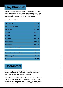# Play Structure

The play runs as a two-hander, switching between Muna and Iqra speaking. Both are dressed in school uniforms and the story flits between their journeys from strangers to friends to the realisation of the fractured connection and history they both share.

Faber edition of *Cuttin' It*.

| Late to school                           | $p. 15 - 16$ |
|------------------------------------------|--------------|
| Maths – Iqra flashback                   | p. $17 - 18$ |
| <b>School gate</b>                       | $p. 19 - 20$ |
| Canteen                                  | $p. 20 - 21$ |
| <b>Bus Stop</b>                          | p. $22 - 24$ |
| <b>Connection</b>                        | $p. 24 - 29$ |
| Muna at home                             | $p. 29 - 32$ |
| Iqra at home                             | $p.32 - 35$  |
| Home clean / school search               | $p.35 - 36$  |
| <b>Home visit</b>                        | $p.37 - 38$  |
| <b>Talk about Muna's sister/ Cutting</b> | $p. 39 - 42$ |
| <b>Fainting / Iqra flashback</b>         | $p.42 - 45$  |
| The day                                  | $p.45 - 55$  |

# **Characters**

Muna is a 15-year-old schoolgirl. Born in Somalia and raised in England, Muna lives with her mum and sister. She would have a local, English accent. Bold, edgy and streetwise.

Iqra is a 15-year-old schoolgirl from Somalia. She came to England aged ten and has just moved to a new school. Iqra has a strong Somalian accent. She is nervous and wants to fit in. Iqra lives with a woman she calls aunty but who she is not related to by blood.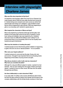# Interview with playwright Charlene James

#### Why was this story important at that time?

I'd watched a documentary called The Cruel Cut on Channel 4 by Leyla Hussein about FGM and was really shocked and moved by it. I started doing some research and came across an article that claimed girls were being cut in Glasgow. I was horrified to learn that as well as happening to girls abroad, FGM was happening to girls on our doorstep and I wanted to speak about it.

#### Who Inspired the characters of Muna and Iqra?

Muna was inspired by my friends at that age and the girls I was seeing on the buses after school at the time of writing it. Funny, loud, caring and relatable. Iqra was inspired by the 'outsiders' who have more of a difficult time fitting in and 'cutting it' in an environment they're not necessarily used to–but are equally warm hearted and good intentioned.

#### What was the intention of creating this play?

I wanted people to know that female genital mutilation is happening to girls in the UK. It's not an 'abroad problem' – it's our problem.

#### Who were your target audience?

I wanted everyone to come and see the play. Young, old, men and women. I thought it was important that we're all seeing what's happening to the bodies of young women and girls.

#### Why did you decide to write it with only two characters? Why have you excluded all adults?

Although it's a big and difficult subject to tackle, I wanted it to feel intimate – like we were reading from the pages of Muna and Iqra's diaries. I wanted to focus on their voices. We hear from the adults through Iqra and Muna.

#### Are there deliberately no male characters? Why?

In an early draft, I'd written a few scenes with Muna's dad in them but then the play evolved to being a two-hander and focused on the complex relationships with the female family members in their lives.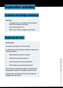# Exploration activities

## Costume and design workshop

#### **Resources**

- A3 images of four to six different school uniforms plus school emblems and mottos
- Script extract pages 15–17
- Blank school uniform templates or plain paper

## Exploring the text

#### 20–30 minutes

As a group, read pages 15–17 from the text

In smaller groups, encourage your students to discuss the following questions:

- 1. What references are there to school?
- 2. What kind of area is the school in?
- 3. Has the school got a diverse population?
- 4. What feeling do we get about the school?

Ask the groups to read the text again, how does Muna's language give insight into her attitude towards school?

Individual task– annotate copies of the script with your thoughts about Q2 and Q3.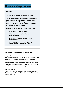## Understanding costume

#### 40 minutes

Print out outlines of school uniforms to annotate.

Split the class into small groups and provide each group with one piece of paper with uniform outlines. Ask the students to write down their thoughts about what Muna's uniform should look like. What can her costume communicate about her character?

Questions you might want to use with your students:

- What do the colours connotate?
- What does the style reflect about the school's culture?
- Is the school private or comprehensive? How do you know?
- What assumptions to we have about the occupation of the students' parents?

#### Example of this exercise from one of my students:

#### Group task:

Students think of a school uniform in the local area other than their own. Think about their uniform, colours and style.

Discuss what impression the uniform gives about the school and the image the school wants to project of itself. Discuss how this impacts the local community's view of the school.

#### Extension exercise:

Design a uniform that each group feels reflects the school Muna and Iqra would go to, based on elements from uniforms from the local area.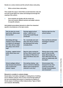Decide on a colour scheme and the school's dress code policy.

1. Write a school dress code policy.

Then explain the ways in which Muna would break this code and how Iqra would reflect her culture and background through the wearing of the uniform.

2. Once students are familiar with the whole text, they can be given different sections and adapt costume for specific extracts.

Add detailed personalised elements to reflect the characters' specific circumstances or the day's events.

| Hair pin given by cousin<br>back home. What would<br>this look like?                                                                         | Earrings against school<br>policy – a gift from an<br>aunty. How would they go<br>unnoticed?                                  | Ketchup stain from the<br>school canteen.                                                                                                                 |
|----------------------------------------------------------------------------------------------------------------------------------------------|-------------------------------------------------------------------------------------------------------------------------------|-----------------------------------------------------------------------------------------------------------------------------------------------------------|
| Schoolbag with logo<br>missing to show defiance.<br>Is it ripped off, damaged<br>etc? How will you create<br>this using a new school<br>bag? | Tie – incorrectly worn and<br>dirty. How will you achieve<br>this distressed look using<br>everyday items.                    | How can this be achieved<br>backstage in between<br>scenes?                                                                                               |
| Lip gloss - against school<br>policy. What colour and<br>why?                                                                                | Bag torn when running for<br>the bus. Which extract could<br>this relate to? What kind of<br>bag would Muna carry and<br>why? | Wrong colour socks- socks<br>given to them by little<br>sister. What design are<br>they? What does this say<br>about her relationship with<br>her sister? |
| School cardigan without<br>logo because lost previous<br>one on school trip -<br>stained / ripped.                                           | One earring missing – was<br>lost in a moment of distress.<br>Which scene would this be<br>reflected in and why?              | School jumper itchy<br>because it's new. How<br>would you show this<br>through characterisation<br>and movement?                                          |

#### Elements to consider in costume design:

Sweat stains, food stains, damaged or missing items of clothing, how to distress costume. How to show mood through styling of the hair, personalised items given to characters by relatives or friends, types of clothing to reflect status/culture. Types of fabric and character affordability.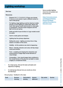## Lighting workshop

#### One hour

#### Resources:

- Extracts 16–17, 17–18, 50, 51, 53 (you can choose to focus on one extract or give a different extract to each small group)
- For lighting: stage lighting would be ideal but mobile phones or torch lighting to create basic effects will work. Each group would need access to colour gels or transparent, colourful sweet wrappers and five light sources per group.
- Dolls and doll's house furniture or Lego models would be useful.
- Card to create gobos and shapes.
- Lighting has five primary objectives
- Setting the scene lighting can show time of day, season or location of the scene.
- Visibility let the audience see what is happening.
- Mood intensity, direction and colour all help shape mood and emotion.
- Form sculpting and shaping the characters and environments on stage helps reveal elements of visual design.
- Composition how visual images help contribute to the overall themes of the play and use light to create imagery to complement these.
- 1. As a large group, discuss the basic principles and objectives of lighting.
- 2. In small groups discuss how you would you show the following?

One per group – feedback to the class

| <b>Dusk</b> | Summer  | Cold winter's | Autumn    | <b>City centre</b> | <b>Sunrise</b> |
|-------------|---------|---------------|-----------|--------------------|----------------|
|             | morning | evening       | afternoon |                    |                |

Some excellent lighting resources and posters can be found here:

[https://www.etcconnect.](https://www.etcconnect.com/Support/Training-Events/LTD/Stage-Lighting-Essentials-for-Educators.aspx) [com/Support/Training-](https://www.etcconnect.com/Support/Training-Events/LTD/Stage-Lighting-Essentials-for-Educators.aspx)[Events/LTD/Stage-](https://www.etcconnect.com/Support/Training-Events/LTD/Stage-Lighting-Essentials-for-Educators.aspx)[Lighting-Essentials-for-](https://www.etcconnect.com/Support/Training-Events/LTD/Stage-Lighting-Essentials-for-Educators.aspx)[Educators.aspx](https://www.etcconnect.com/Support/Training-Events/LTD/Stage-Lighting-Essentials-for-Educators.aspx)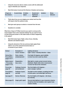- 3. Using the resources above create a scene with the dolls/card/ Lego to illustrate your response.
- 4. Next think about mood and the themes of shadow and secrecy.

| A figure at | A secret diary A hidden |        | <b>Scared and</b> | <b>Isolation</b> | <b>Being</b> |
|-------------|-------------------------|--------|-------------------|------------------|--------------|
| the window  |                         | object | frightened        |                  | followed     |
|             |                         |        | character         |                  |              |

- 5. Think about how you are staging your extract and how this will impact what the audience sees.
- 6. Next give each group an extract or moment from the text.
- 7. Questions to consider.

What time of day is it? What mood do you want to convey as the scene begins? How is the character feeling? Do you want to focus on their personal emotion or the wider sense of what is happening in the space?

- 8. Next think about type of light, colour, focus, intensity, direction and desired impact.
- 9. Using the elements of the two previous tasks apply these skills to one of the extracts/moments below or a moment of your choice.

| <b>Extract</b>                                     | <b>Examples of</b><br>mood / emotion | <b>Lighting decisions</b><br>Light / colour / intensity direction – ideas                                                     |
|----------------------------------------------------|--------------------------------------|-------------------------------------------------------------------------------------------------------------------------------|
| School Bus-<br><b>Focus Muna</b><br>pages 16-17    | Panic, shame,<br>embarrassment       | Front light 45 degrees, good visibility<br>to show how she is seen by others                                                  |
| <b>Maths lesson</b><br>- Focus Igra<br>pages 17-18 | Desperation,<br>loss, worry          | Side light to create surreal moment during<br>flashback. Bright white when reveal answer<br>to show her fear at the onlookers |
| Focus Igra<br>page 50                              | Feelings of sorrow<br>and excitement | Two front lights at 45 degrees -<br>warm oranges / yellows                                                                    |
| <b>Focus Muna</b><br>page 50                       | Feelings of panic<br>and fear        | Top light to show isolation, sculpting her face<br>to show panic, cool white light, soft focus                                |
| Igra page 51                                       | Sorrow. Remorse                      | Two front lights at 45 degrees – dim blues,<br>low intensity                                                                  |
| Muna page 53                                       | Anger, guilt, regret                 | Top and side lighting to case characters shadow<br>as well as show her isolation, red or green hues<br>medium intesity        |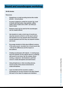#### 40–60 minutes

Resources:

- Dictaphones or small recording devices like mobile phones – one per group.
- An array of objects to create live sounds. Eg. A pair of shoes with hard soles, crisp packets, cutlery, chairs, bowl of water and a cloth– use what you have to hand.
- Extracts of text can be used but the soundscapes can be created without.
- 1. Ask students to make a mind-map of sounds you may hear around a school or on the way to school. Get students to be very specific about what these sounds represent and how they can pinpoint location and mood.
- 2. Encourage students to think about different versions of the same sound– recorded, live or found sound clip – discuss the differences and the impact on the audience.
- 3. Creating soundscapes with objects in small groups, have the students use the objects above to creatively add sound to one scene. Eg. the canteen, Muna running, a classroom. Get students to add their voices to create atmosphere and build tension.
- 4. Using dictaphones or other recording devices, record sounds of the school environment to create atmosphere.
- 5. Layer recorded and live sounds to create a soundscape for one key moment in the play. Present this back to the class for analysis and evaluation.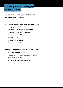## Monologues and duologues GCSE / A Level

The whole text could be approached as a series of short monologues so there is a lot to choose from in terms of performance choices for examination.

### Monologue suggestions for GCSE or A Level

- Muna, pages 16–17 Missed the bus
- Iqra, pages 17–19 Maths lesson flashback
- Muna, pages 22–23 first impressions
- Muna, pages 29–32 Little sister
- Igra, pages 32–35
- Igra, pages 42–45 Flashback
- Muna, pages 45–46 Sister's birthday

### Duologue suggestions for GCSE or A Level

- Iqra, pages 20–24 Friendship
- Muna, pages 24–29 Panic attack, 'but she is gone'
- Muna, pages 36–41 Iqra's house
- Iqra and Muna, pages 50–55 Balloons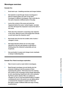### Monologue exercises

#### Example One

- 1. Vocal warm-ups breathing exercises and tongue twisters.
- 2. Get students to read through chosen monologues in pairs for support (pairs can work on the same monologue or different monologues. Pairs could also be the same character at different pints in the play).
- 3. Look at the context of the scene and what has happened before the scene / extract begins– annotate how this will impact the character's mood at the start of the scene.
- 4. Think about the character's overarching main objective in the scene. What are some of the things that motivate us and want does the character want?
- 5. Next break down the text into smaller units of action / changes in mood.
- 6. Add stage directions (there are not many stage directions in the text, get students to add these in thinking about the character's physicality and use of gesture).
- 7. Use punctuation to pause and change mood, emphasis or tempo in delivering lines.

#### Example Two: Paired monologue exploration.

- 1. Take in turns to work on each other's monologues.
- 2. Read through monologue one and decide who the character is talking to and the purpose of them expressing this opinion. Think about how the meaning and context of the monologue would change depending on who was listening. Experiment with a few examples. Eg Friend, parent, teacher. Who our audience is changes our use of vocal and physical skills so imagine confessing the text to the person you are talking about or someone the character is scared of. Note how this elicits a range of different skills and ways of being in performance. The contract of the contract of the contract of the contract of the contract of the contract of the contract of the contract of the contract of the contract of the contract of the contract of the contract o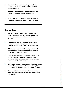- 3. Note down changes in vocal and physical skills you feel were successful in conveying a range of emotions suitable to the text.
- 4. Next, write down the subtext of what the character is not saying, thinking about why they hide parts of themselves.
- 5. In pairs, perform the monologue where one reads the monologue and the other inserts the lines of subtext.

### Example three

- 1. Individually stand in neutral position and complete relaxation exercises to loosen up the muscles. Focus on the neck and head as well as the shoulders, legs and back.
- 2. Next using Lecoq's 'seven stages of tension', work through each stage noticing how it feels in your body and how it changes your energy as a performer.
- 3. Take your chosen extract and look at your character's emotional journey through the play and connect these to the different stages of tension.
- 4. Using the text, you are going to perform use the level of tension and work though given moments and lines and identify different tensions within the body and how the character will express these within the scene.
- 5. Think about moments of pause between the different states and how these are moments of changes of thought for characters and reflections of what is happening around them.
- 6. Good examples to use this on would be Iqra –Maths classroom, pages 17–18; Muna, pages 37–38; and Muna, pages 39–42.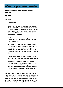## Off-text improvisation exercises

These tasks could be used for devising or further exploration

### Top deck

#### **Resources**

- Extract pages 15–16
- 1. Using pages 15–16 as a starting point, ask students to read through the extract and discuss the feelings of both characters on their way in to school. Discuss the language used by each character and what it reveals about their opinions of others and their own stereotypes or prejudices.
- 2. Next split the class into small groups of four to six people, and either give them dop deck or bottom deck as group labels.
- 3. The groups who have bottom deck are to imagine they are people on the bottom deck of a bus on their way to work or school at 8am. The groups who have the top deck are to imagine they are people on the top deck of the bus on their way to work or school at 8am.
- 4. Discuss what kinds of people sit where on the bus and what it says about their character or disposition.
- 5. Each person in the group should then create a character, giving themselves a job or status, an age and a purpose for their bus journey that morning. They can add more depth to their chosen character and give them some background information and context.

Examples: Josie, 23. Works in Burger King. She is on her way to start a day shift after being up late with sick relative. Ade, 32, is a trainee accountant heading to their first day of new job after graduating from university. Chloe, 14, is on her way to a new school as she has recently moved home. Chloe needs to change buses by the Burger King and is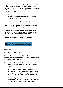very nervous about her first day. Get students to be creative about character context and background and be diverse in the names they select and the characters' circumstances. Try and keep the characters as naturalistic as possible and not caricatures or stereotypes.

6. Each person then writes a monologue as their chosen character on their journey. Work could be presented in a range of creative ways.

Performance work can then be a mix of creative expression.

Monologues from top deck passengers can be woven with those of the bottom deck passengers.

A series of connecting monologues with similar phrases used as repeated lines and connections between characters. Key lines can be used as cues for the next character.

Monologues punctuated by movement in unison

## Classroom daydreaming

#### Resources:

• Extract pages 17–18

Iqra has a flashback to the conflict she witnessed back in Somalia which gives the audience an insight into her past and the tragedies she has witnessed.

- 1. In groups of eight, students could write down happy flashbacks to their childhood. These could be real or imagined.
- 2. Each student can link that memory to something visual or auditory in the classroom. Each student then writes a monologue connecting the auditory or visual clue with their flashback. This should be written in first person.
- 3. Each monologue could then be performed as if in a classroom and the dialogue broken up and overlapped. This could lead into a whole class improvisation/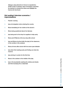dialogue using elements of chorus to repeat/echo similar words or phrases. Iqra's monologue could then be inserted to contrast the others and highlight the trauma she has faced.

### Hot seating/ interview scenarios / improvisations

- 1. Parents' evening
- 2. Iqra at immigration when entering the country
- 3. Muna translating for her mother at the doctor's
- 4. Muna being questioned about her lateness
- 5. Iqra being sent to the shop for supplies to help aunty
- 6. Muna and D'Marnie at the bus stop after school
- 7. Iqra and Muna at school after the play (in the classroom, in the corridor, in the canteen)
- 8. Muna at home after school with her seven-year-oldsister
- 9. Iqra when first meeting aunty and finding out what she must do
- 10. Iqra arriving in London for the first time
- 11. Muna in the canteen in the middle of the play
- 12. Iqra in the launderette washing the clothes and sheets and then bumping into a classmate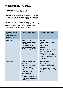### Devising ideas / using the text and connected themes as stimulus

### Performing and realising text – connection to practitioners

These ideas are about making connections with the text and wider themes and issues. They can be used with the different requirements of the main A Level and GCSE exam boards.

Each exam board has different requirements for each component so please check the specification for exact details that fit the unit requirements. This table is a springboard of ideas and connections for further development.

| <b>Suggested starting</b><br>point<br>(If ten-minute extract<br>needed as stimulus) | Themes / ideas/ quotes                                                                                                                                                                                                                                                       | <b>Practitioner connections</b>                                                                                                                                                                                                                                                        |
|-------------------------------------------------------------------------------------|------------------------------------------------------------------------------------------------------------------------------------------------------------------------------------------------------------------------------------------------------------------------------|----------------------------------------------------------------------------------------------------------------------------------------------------------------------------------------------------------------------------------------------------------------------------------------|
| Pages 29-38                                                                         | <b>Equality for girls</b><br>Malala Yousafzai speech<br>to the UN<br>Link: Malala Yousafzai<br>addresses United Nations<br><b>Youth Assembly - YouTube</b>                                                                                                                   | <b>Brecht-</b><br>Political and epic theatre.<br><b>Placards</b><br><b>Direct address</b><br><b>Narration</b><br>Propeller--all-male company.<br>Words of women and girls<br>spoken by all-male cast.<br>Link: Propeller's Twelfth Night<br>at the Theatre Royal Plymouth<br>- YouTube |
| Pages 24-32                                                                         | <b>Oppression of women.</b><br>Quote 'When men are<br>oppressed it's a tragedy.<br>When women are<br>oppressed it's tradition.'<br><b>Letty Cottin Pogrebin</b><br>Link: https://cdn.<br>quotesgram.com/<br>img/64/37/195268154-eac<br>9cffd04469cdd8c7fcc8402<br>6f7824.jpg | Augusto Boal-<br>Theatre of the oppressed /<br>Theatre for social change.<br>Link: Augusto Boal's 'Theatre<br>of the Oppressed' - Harvard<br>Gazette                                                                                                                                   |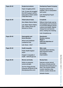| Pages 39-45 | <b>Surgical procedures</b><br>Organ smuggling article<br>Link: 12-year-old smuggled<br>into UK for gang to sell his<br>body parts on black market<br><b>Daily Mail Online</b> | <b>Handspring Puppet Company.</b><br>Surgeries performed by<br>puppets. Link to manipulation<br>and control<br><b>Link: Handspring Puppet</b><br>Company                                                                             |
|-------------|-------------------------------------------------------------------------------------------------------------------------------------------------------------------------------|--------------------------------------------------------------------------------------------------------------------------------------------------------------------------------------------------------------------------------------|
| Pages 32-39 | <b>Tribal/cultural rituals.</b><br><b>Alice Walker Warrier Marks</b><br><b>Link: Watch Warrior Marks-</b><br>Clip 1 Online   Vimeo On<br><b>Demand on Vimeo</b>               | Complicité.<br>Different tribal rituals used as<br>choreography and movement<br>to punctuate dialogue around<br>customs and beliefs. Objects<br>change form and become<br>anew, creating new meaning.<br><b>Link: Complicite.org</b> |
| Pages 39-45 | <b>Haemoglobin and</b><br>blood disorders<br><b>African and Caribbean</b><br>Leukaemia Trust<br>Link: Home - ACLT                                                             | Stanislavski.<br><b>Emotion memory</b><br><b>Magic if</b><br>Units and objectives of<br>characters                                                                                                                                   |
| Pages 35-42 | <b>Health inequality</b><br><b>Public Health England</b><br>report<br>Chapter 5: inequality in<br>health - GOV.UK (gov.uk)                                                    | Mike Leigh.<br>Character-based devising.<br>Real character studies.<br>Hot seating.<br>Improvisation.                                                                                                                                |
| Pages 29-35 | <b>Women and family</b><br>Article on pressures<br>women and girls<br><b>The Five Things Society</b><br><b>Pressures All Women to Be</b><br>(theodysseyonline.com)            | <b>Nicolas Kent.</b><br>Interview women around<br>the theme of family and the<br>demands that society puts on<br>them. Can include mothers,<br>cousins, teachers, shop<br>owners, cousins, friends etc<br><b>Verbatim theatre</b>    |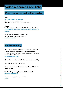## Video resources and links

## Video resources and further reading

#### **Trailer**

#### <https://youtu.be/fHWKbeJSo98>

Charlene James speaking to the BBC's Sophie van Brugen – video 2.01 minutes

#### Review

Theatre: *Cuttin' It* at the Young Vic, SE1 | Times2 | The Times [www.thetimes.co.uk/article/cuttin-it-at-the-young-vic-se1](http://www.thetimes.co.uk/article/cuttin-it-at-the-young-vic-se1-h8bfkl6gg) [h8bfkl6gg](http://www.thetimes.co.uk/article/cuttin-it-at-the-young-vic-se1-h8bfkl6gg)

Royal Court schools tour education pack Cuttin-it-Resource-Pack-2018-v4.pdf <http://bitly.ws/kbHU>

### Further reading

Alice Walker and Pratibha Parmer – Warrier Marks, research into gemale genital mutilation and the sexual binding of women Warrior Marks | Alice Walker | The Official Website for American Novelist & Poet alicewalkersgarden.com

Alice Walker – novel about FGM Possessing the Secret of Joy

Cut FGM in Britain by Hibo Wardere

The Cut: Female Genital Mutilation in the Modern World – The AHA Foundation

The Five Things Society Pressures All Women to Be theodysseyonline.com

Chapter 5: inequality in health – GOV.UK gov.uk